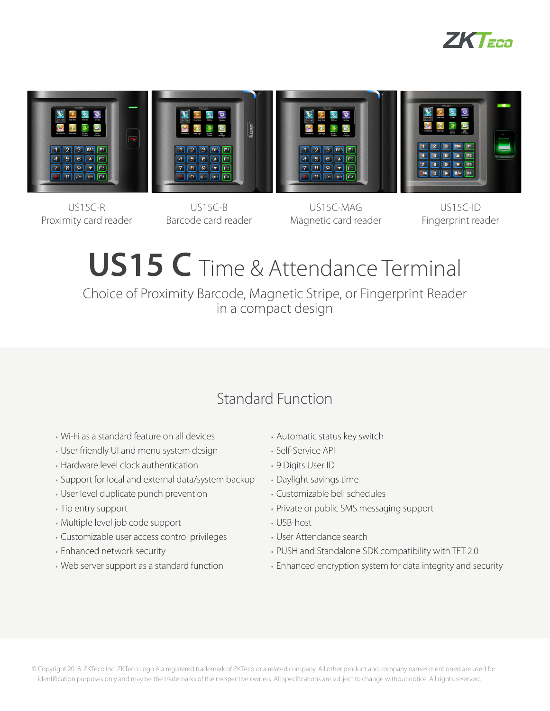



 $US15C-R$ Proximity card reader

US15C-B Barcode card reader

US15C-MAG Magnetic card reader

US15C-ID Fingerprint reader

# **US15 C** Time & Attendance Terminal

Choice of Proximity Barcode, Magnetic Stripe, or Fingerprint Reader in a compact design

# Standard Function

- Wi-Fi as a standard feature on all devices
- User friendly UI and menu system design
- Hardware level clock authentication
- Support for local and external data/system backup
- User level duplicate punch prevention
- Tip entry support
- Multiple level job code support
- Customizable user access control privileges
- Enhanced network security
- Web server support as a standard function
- Automatic status key switch
- Self-Service API
- 9 Digits User ID
- Daylight savings time
- Customizable bell schedules
- Private or public SMS messaging support
- USB-host
- User Attendance search
- PUSH and Standalone SDK compatibility with TFT 2.0
- Enhanced encryption system for data integrity and security